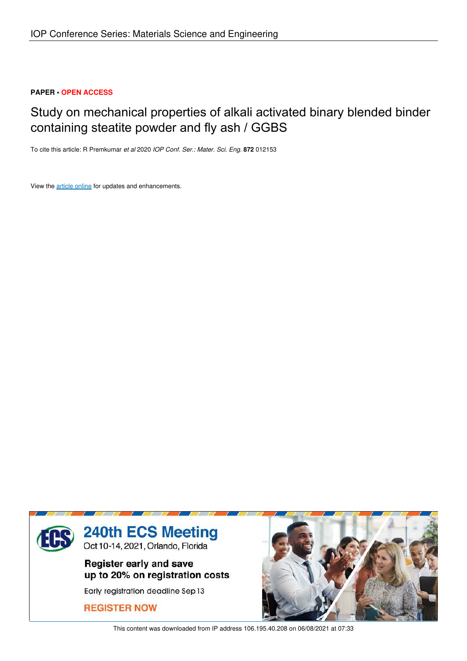## **PAPER • OPEN ACCESS**

# Study on mechanical properties of alkali activated binary blended binder containing steatite powder and fly ash / GGBS

To cite this article: R Premkumar *et al* 2020 *IOP Conf. Ser.: Mater. Sci. Eng.* **872** 012153

View the article online for updates and enhancements.



This content was downloaded from IP address 106.195.40.208 on 06/08/2021 at 07:33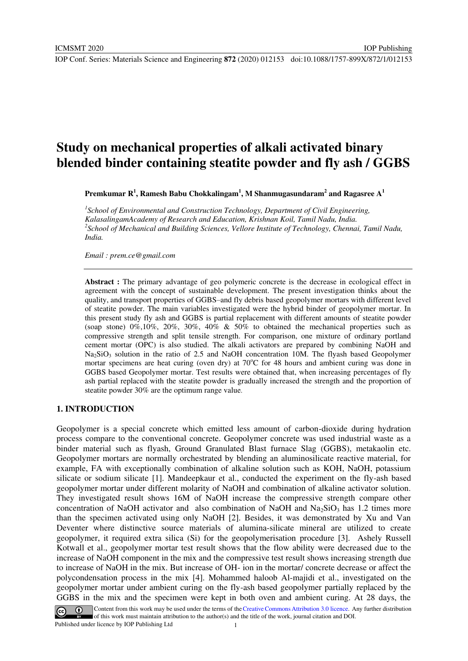## **Study on mechanical properties of alkali activated binary blended binder containing steatite powder and fly ash / GGBS**

**Premkumar R<sup>1</sup> , Ramesh Babu Chokkalingam<sup>1</sup> , M Shanmugasundaram<sup>2</sup> and Ragasree A<sup>1</sup>**

<sup>1</sup> School of Environmental and Construction Technology, Department of Civil Engineering, *KalasalingamAcademy of Research and Education, Krishnan Koil, Tamil Nadu, India. 2 School of Mechanical and Building Sciences, Vellore Institute of Technology, Chennai, Tamil Nadu, India.* 

*Email : prem.ce@gmail.com* 

**Abstract :** The primary advantage of geo polymeric concrete is the decrease in ecological effect in agreement with the concept of sustainable development. The present investigation thinks about the quality, and transport properties of GGBS–and fly debris based geopolymer mortars with different level of steatite powder. The main variables investigated were the hybrid binder of geopolymer mortar. In this present study fly ash and GGBS is partial replacement with different amounts of steatite powder (soap stone) 0%,10%, 20%, 30%, 40% & 50% to obtained the mechanical properties such as compressive strength and split tensile strength. For comparison, one mixture of ordinary portland cement mortar (OPC) is also studied. The alkali activators are prepared by combining NaOH and Na<sub>2</sub>SiO<sub>3</sub> solution in the ratio of 2.5 and NaOH concentration 10M. The flyash based Geopolymer mortar specimens are heat curing (oven dry) at  $70^{\circ}$ C for 48 hours and ambient curing was done in GGBS based Geopolymer mortar. Test results were obtained that, when increasing percentages of fly ash partial replaced with the steatite powder is gradually increased the strength and the proportion of steatite powder 30% are the optimum range value.

## **1. INTRODUCTION**

Geopolymer is a special concrete which emitted less amount of carbon-dioxide during hydration process compare to the conventional concrete. Geopolymer concrete was used industrial waste as a binder material such as flyash, Ground Granulated Blast furnace Slag (GGBS), metakaolin etc. Geopolymer mortars are normally orchestrated by blending an aluminosilicate reactive material, for example, FA with exceptionally combination of alkaline solution such as KOH, NaOH, potassium silicate or sodium silicate [1]. Mandeepkaur et al., conducted the experiment on the fly-ash based geopolymer mortar under different molarity of NaOH and combination of alkaline activator solution. They investigated result shows 16M of NaOH increase the compressive strength compare other concentration of NaOH activator and also combination of NaOH and Na<sub>2</sub>SiO<sub>3</sub> has 1.2 times more than the specimen activated using only NaOH [2]. Besides, it was demonstrated by Xu and Van Deventer where distinctive source materials of alumina-silicate mineral are utilized to create geopolymer, it required extra silica (Si) for the geopolymerisation procedure [3]. Ashely Russell Kotwall et al., geopolymer mortar test result shows that the flow ability were decreased due to the increase of NaOH component in the mix and the compressive test result shows increasing strength due to increase of NaOH in the mix. But increase of OH- ion in the mortar/ concrete decrease or affect the polycondensation process in the mix [4]. Mohammed haloob Al-majidi et al., investigated on the geopolymer mortar under ambient curing on the fly-ash based geopolymer partially replaced by the GGBS in the mix and the specimen were kept in both oven and ambient curing. At 28 days, the



Content from this work may be used under the terms of the Creative Commons Attribution 3.0 licence. Any further distribution of this work must maintain attribution to the author(s) and the title of the work, journal citation and DOI. Published under licence by IOP Publishing Ltd 1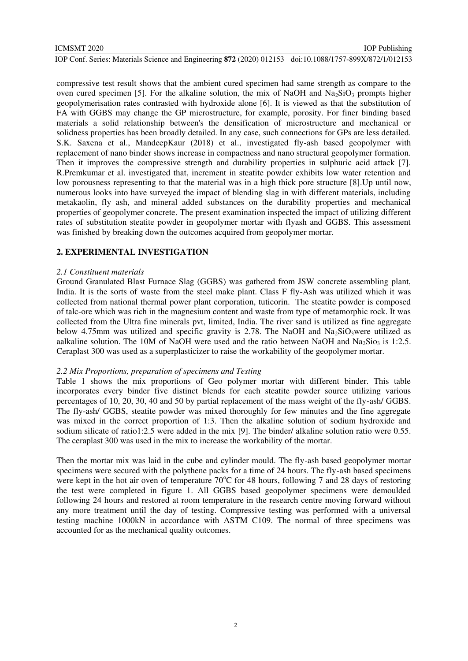#### ICMSMT 2020

IOP Publishing

IOP Conf. Series: Materials Science and Engineering **872** (2020) 012153 doi:10.1088/1757-899X/872/1/012153

compressive test result shows that the ambient cured specimen had same strength as compare to the oven cured specimen [5]. For the alkaline solution, the mix of NaOH and Na<sub>2</sub>SiO<sub>3</sub> prompts higher geopolymerisation rates contrasted with hydroxide alone [6]. It is viewed as that the substitution of FA with GGBS may change the GP microstructure, for example, porosity. For finer binding based materials a solid relationship between's the densification of microstructure and mechanical or solidness properties has been broadly detailed. In any case, such connections for GPs are less detailed. S.K. Saxena et al., MandeepKaur (2018) et al., investigated fly-ash based geopolymer with replacement of nano binder shows increase in compactness and nano structural geopolymer formation. Then it improves the compressive strength and durability properties in sulphuric acid attack [7]. R.Premkumar et al. investigated that, increment in steatite powder exhibits low water retention and low porousness representing to that the material was in a high thick pore structure [8].Up until now, numerous looks into have surveyed the impact of blending slag in with different materials, including metakaolin, fly ash, and mineral added substances on the durability properties and mechanical properties of geopolymer concrete. The present examination inspected the impact of utilizing different rates of substitution steatite powder in geopolymer mortar with flyash and GGBS. This assessment was finished by breaking down the outcomes acquired from geopolymer mortar.

### **2. EXPERIMENTAL INVESTIGATION**

#### *2.1 Constituent materials*

Ground Granulated Blast Furnace Slag (GGBS) was gathered from JSW concrete assembling plant, India. It is the sorts of waste from the steel make plant. Class F fly-Ash was utilized which it was collected from national thermal power plant corporation, tuticorin. The steatite powder is composed of talc-ore which was rich in the magnesium content and waste from type of metamorphic rock. It was collected from the Ultra fine minerals pvt, limited, India. The river sand is utilized as fine aggregate below 4.75mm was utilized and specific gravity is 2.78. The NaOH and Na<sub>2</sub>SiO<sub>3</sub>were utilized as aalkaline solution. The 10M of NaOH were used and the ratio between NaOH and Na<sub>2</sub>Sio<sub>3</sub> is 1:2.5. Ceraplast 300 was used as a superplasticizer to raise the workability of the geopolymer mortar.

### *2.2 Mix Proportions, preparation of specimens and Testing*

Table 1 shows the mix proportions of Geo polymer mortar with different binder. This table incorporates every binder five distinct blends for each steatite powder source utilizing various percentages of 10, 20, 30, 40 and 50 by partial replacement of the mass weight of the fly-ash/ GGBS. The fly-ash/ GGBS, steatite powder was mixed thoroughly for few minutes and the fine aggregate was mixed in the correct proportion of 1:3. Then the alkaline solution of sodium hydroxide and sodium silicate of ratio1:2.5 were added in the mix [9]. The binder/ alkaline solution ratio were 0.55. The ceraplast 300 was used in the mix to increase the workability of the mortar.

Then the mortar mix was laid in the cube and cylinder mould. The fly-ash based geopolymer mortar specimens were secured with the polythene packs for a time of 24 hours. The fly-ash based specimens were kept in the hot air oven of temperature  $70^{\circ}$ C for 48 hours, following 7 and 28 days of restoring the test were completed in figure 1. All GGBS based geopolymer specimens were demoulded following 24 hours and restored at room temperature in the research centre moving forward without any more treatment until the day of testing. Compressive testing was performed with a universal testing machine 1000kN in accordance with ASTM C109. The normal of three specimens was accounted for as the mechanical quality outcomes.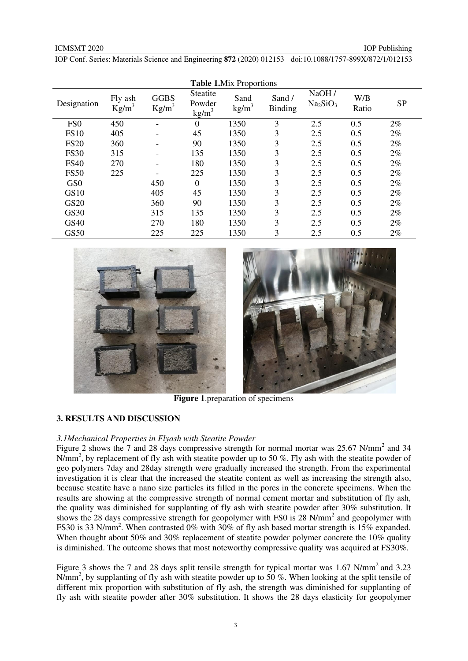IOP Publishing

IOP Conf. Series: Materials Science and Engineering **872** (2020) 012153 doi:10.1088/1757-899X/872/1/012153

| <b>Table 1.</b> Mix Proportions |                     |                         |                                                      |                         |                         |                                            |              |           |
|---------------------------------|---------------------|-------------------------|------------------------------------------------------|-------------------------|-------------------------|--------------------------------------------|--------------|-----------|
| Designation                     | Fly ash<br>$Kg/m^3$ | <b>GGBS</b><br>$Kg/m^3$ | Steatite<br>Powder<br>$\frac{\text{kg}}{\text{m}^3}$ | Sand<br>$\text{kg/m}^3$ | Sand/<br><b>Binding</b> | NaOH /<br>Na <sub>2</sub> SiO <sub>3</sub> | W/B<br>Ratio | <b>SP</b> |
| FS <sub>0</sub>                 | 450                 |                         | $\overline{0}$                                       | 1350                    | 3                       | 2.5                                        | 0.5          | $2\%$     |
| <b>FS10</b>                     | 405                 |                         | 45                                                   | 1350                    | 3                       | 2.5                                        | 0.5          | $2\%$     |
| <b>FS20</b>                     | 360                 |                         | 90                                                   | 1350                    | 3                       | 2.5                                        | 0.5          | $2\%$     |
| <b>FS30</b>                     | 315                 |                         | 135                                                  | 1350                    | 3                       | 2.5                                        | 0.5          | $2\%$     |
| <b>FS40</b>                     | 270                 |                         | 180                                                  | 1350                    | 3                       | 2.5                                        | 0.5          | $2\%$     |
| <b>FS50</b>                     | 225                 |                         | 225                                                  | 1350                    | 3                       | 2.5                                        | 0.5          | $2\%$     |
| GS <sub>0</sub>                 |                     | 450                     | $\overline{0}$                                       | 1350                    | 3                       | 2.5                                        | 0.5          | $2\%$     |
| <b>GS10</b>                     |                     | 405                     | 45                                                   | 1350                    | 3                       | 2.5                                        | 0.5          | $2\%$     |
| <b>GS20</b>                     |                     | 360                     | 90                                                   | 1350                    | 3                       | 2.5                                        | 0.5          | $2\%$     |
| <b>GS30</b>                     |                     | 315                     | 135                                                  | 1350                    | 3                       | 2.5                                        | 0.5          | $2\%$     |
| GS40                            |                     | 270                     | 180                                                  | 1350                    | 3                       | 2.5                                        | 0.5          | $2\%$     |
| <b>GS50</b>                     |                     | 225                     | 225                                                  | 1350                    | 3                       | 2.5                                        | 0.5          | $2\%$     |





**Figure 1**.preparation of specimens

## **3. RESULTS AND DISCUSSION**

#### *3.1Mechanical Properties in Flyash with Steatite Powder*

Figure 2 shows the 7 and 28 days compressive strength for normal mortar was  $25.67$  N/mm<sup>2</sup> and 34 N/mm<sup>2</sup>, by replacement of fly ash with steatite powder up to 50 %. Fly ash with the steatite powder of geo polymers 7day and 28day strength were gradually increased the strength. From the experimental investigation it is clear that the increased the steatite content as well as increasing the strength also, because steatite have a nano size particles its filled in the pores in the concrete specimens. When the results are showing at the compressive strength of normal cement mortar and substitution of fly ash, the quality was diminished for supplanting of fly ash with steatite powder after 30% substitution. It shows the 28 days compressive strength for geopolymer with FS0 is 28 N/mm<sup>2</sup> and geopolymer with FS30 is 33 N/mm<sup>2</sup>. When contrasted 0% with 30% of fly ash based mortar strength is 15% expanded. When thought about 50% and 30% replacement of steatite powder polymer concrete the 10% quality is diminished. The outcome shows that most noteworthy compressive quality was acquired at FS30%.

Figure 3 shows the 7 and 28 days split tensile strength for typical mortar was  $1.67$  N/mm<sup>2</sup> and  $3.23$ N/mm<sup>2</sup>, by supplanting of fly ash with steatite powder up to 50 %. When looking at the split tensile of different mix proportion with substitution of fly ash, the strength was diminished for supplanting of fly ash with steatite powder after 30% substitution. It shows the 28 days elasticity for geopolymer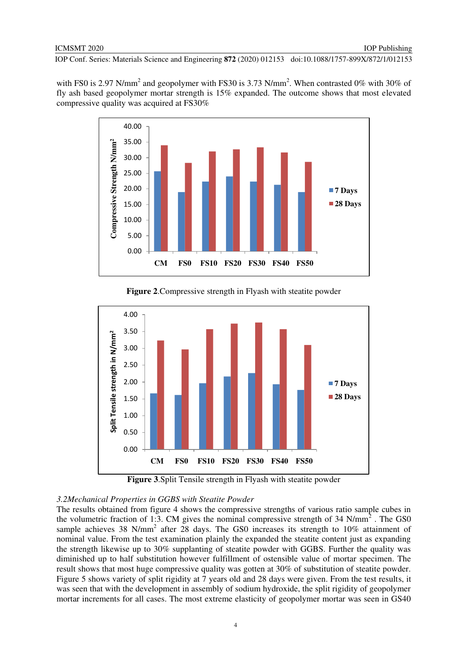with FS0 is 2.97 N/mm<sup>2</sup> and geopolymer with FS30 is 3.73 N/mm<sup>2</sup>. When contrasted 0% with 30% of fly ash based geopolymer mortar strength is 15% expanded. The outcome shows that most elevated compressive quality was acquired at FS30%



**Figure 2**.Compressive strength in Flyash with steatite powder



**Figure 3**.Split Tensile strength in Flyash with steatite powder

#### *3.2Mechanical Properties in GGBS with Steatite Powder*

The results obtained from figure 4 shows the compressive strengths of various ratio sample cubes in the volumetric fraction of 1:3. CM gives the nominal compressive strength of 34  $N/mm^2$ . The GS0 sample achieves 38 N/mm<sup>2</sup> after 28 days. The GS0 increases its strength to 10% attainment of nominal value. From the test examination plainly the expanded the steatite content just as expanding the strength likewise up to 30% supplanting of steatite powder with GGBS. Further the quality was diminished up to half substitution however fulfillment of ostensible value of mortar specimen. The result shows that most huge compressive quality was gotten at 30% of substitution of steatite powder. Figure 5 shows variety of split rigidity at 7 years old and 28 days were given. From the test results, it was seen that with the development in assembly of sodium hydroxide, the split rigidity of geopolymer mortar increments for all cases. The most extreme elasticity of geopolymer mortar was seen in GS40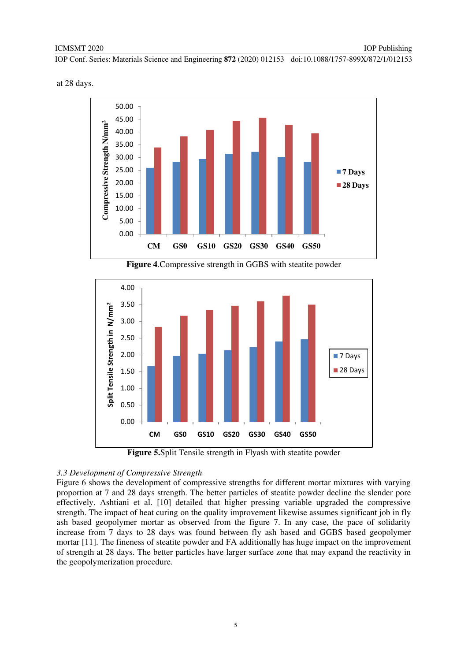at 28 days.



**Figure 4**.Compressive strength in GGBS with steatite powder



**Figure 5.**Split Tensile strength in Flyash with steatite powder

## *3.3 Development of Compressive Strength*

Figure 6 shows the development of compressive strengths for different mortar mixtures with varying proportion at 7 and 28 days strength. The better particles of steatite powder decline the slender pore effectively. Ashtiani et al. [10] detailed that higher pressing variable upgraded the compressive strength. The impact of heat curing on the quality improvement likewise assumes significant job in fly ash based geopolymer mortar as observed from the figure 7. In any case, the pace of solidarity increase from 7 days to 28 days was found between fly ash based and GGBS based geopolymer mortar [11]. The fineness of steatite powder and FA additionally has huge impact on the improvement of strength at 28 days. The better particles have larger surface zone that may expand the reactivity in the geopolymerization procedure.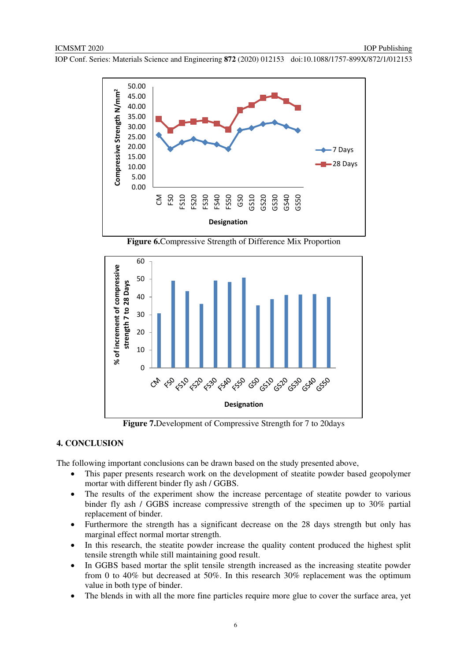





**Figure 7.**Development of Compressive Strength for 7 to 20days

## **4. CONCLUSION**

The following important conclusions can be drawn based on the study presented above,

- This paper presents research work on the development of steatite powder based geopolymer mortar with different binder fly ash / GGBS.
- The results of the experiment show the increase percentage of steatite powder to various binder fly ash / GGBS increase compressive strength of the specimen up to 30% partial replacement of binder.
- Furthermore the strength has a significant decrease on the 28 days strength but only has marginal effect normal mortar strength.
- In this research, the steatite powder increase the quality content produced the highest split tensile strength while still maintaining good result.
- In GGBS based mortar the split tensile strength increased as the increasing steatite powder from 0 to 40% but decreased at 50%. In this research 30% replacement was the optimum value in both type of binder.
- The blends in with all the more fine particles require more glue to cover the surface area, yet